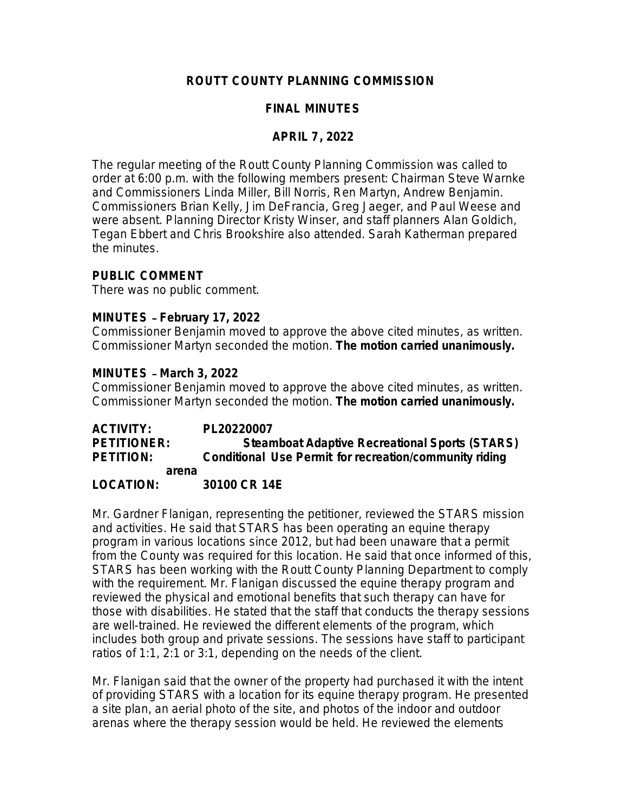## **ROUTT COUNTY PLANNING COMMISSION**

## **FINAL MINUTES**

### **APRIL 7, 2022**

The regular meeting of the Routt County Planning Commission was called to order at 6:00 p.m. with the following members present: Chairman Steve Warnke and Commissioners Linda Miller, Bill Norris, Ren Martyn, Andrew Benjamin. Commissioners Brian Kelly, Jim DeFrancia, Greg Jaeger, and Paul Weese and were absent. Planning Director Kristy Winser, and staff planners Alan Goldich, Tegan Ebbert and Chris Brookshire also attended. Sarah Katherman prepared the minutes.

### **PUBLIC COMMENT**

There was no public comment.

### **MINUTES** – **February 17, 2022**

Commissioner Benjamin moved to approve the above cited minutes, as written. Commissioner Martyn seconded the motion. **The motion carried unanimously.**

#### **MINUTES** – **March 3, 2022**

Commissioner Benjamin moved to approve the above cited minutes, as written. Commissioner Martyn seconded the motion. **The motion carried unanimously.**

**ACTIVITY: PL20220007 PETITIONER: Steamboat Adaptive Recreational Sports (STARS) PETITION: Conditional Use Permit for recreation/community riding arena LOCATION: 30100 CR 14E**

Mr. Gardner Flanigan, representing the petitioner, reviewed the STARS mission and activities. He said that STARS has been operating an equine therapy program in various locations since 2012, but had been unaware that a permit from the County was required for this location. He said that once informed of this, STARS has been working with the Routt County Planning Department to comply with the requirement. Mr. Flanigan discussed the equine therapy program and reviewed the physical and emotional benefits that such therapy can have for those with disabilities. He stated that the staff that conducts the therapy sessions are well-trained. He reviewed the different elements of the program, which includes both group and private sessions. The sessions have staff to participant ratios of 1:1, 2:1 or 3:1, depending on the needs of the client.

Mr. Flanigan said that the owner of the property had purchased it with the intent of providing STARS with a location for its equine therapy program. He presented a site plan, an aerial photo of the site, and photos of the indoor and outdoor arenas where the therapy session would be held. He reviewed the elements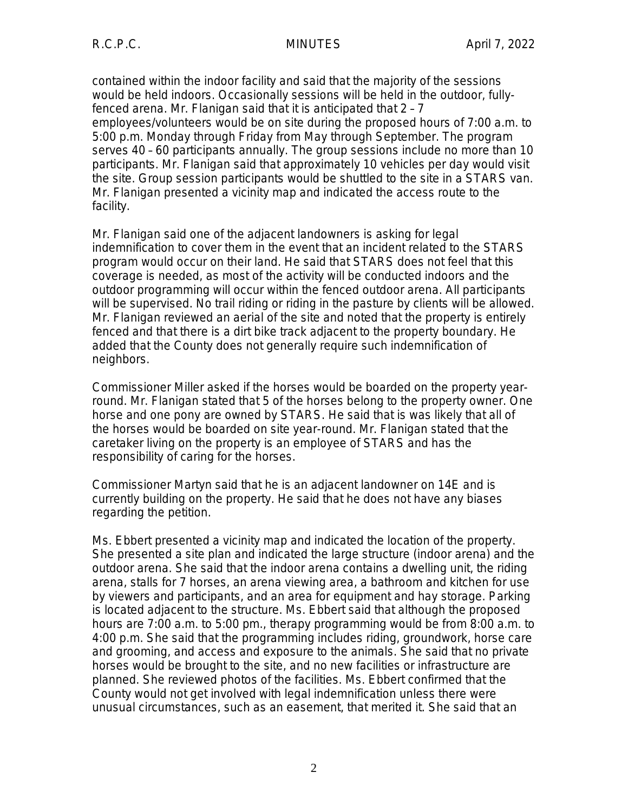contained within the indoor facility and said that the majority of the sessions would be held indoors. Occasionally sessions will be held in the outdoor, fullyfenced arena. Mr. Flanigan said that it is anticipated that 2 – 7 employees/volunteers would be on site during the proposed hours of 7:00 a.m. to 5:00 p.m. Monday through Friday from May through September. The program serves 40 – 60 participants annually. The group sessions include no more than 10 participants. Mr. Flanigan said that approximately 10 vehicles per day would visit the site. Group session participants would be shuttled to the site in a STARS van. Mr. Flanigan presented a vicinity map and indicated the access route to the facility.

Mr. Flanigan said one of the adjacent landowners is asking for legal indemnification to cover them in the event that an incident related to the STARS program would occur on their land. He said that STARS does not feel that this coverage is needed, as most of the activity will be conducted indoors and the outdoor programming will occur within the fenced outdoor arena. All participants will be supervised. No trail riding or riding in the pasture by clients will be allowed. Mr. Flanigan reviewed an aerial of the site and noted that the property is entirely fenced and that there is a dirt bike track adjacent to the property boundary. He added that the County does not generally require such indemnification of neighbors.

Commissioner Miller asked if the horses would be boarded on the property yearround. Mr. Flanigan stated that 5 of the horses belong to the property owner. One horse and one pony are owned by STARS. He said that is was likely that all of the horses would be boarded on site year-round. Mr. Flanigan stated that the caretaker living on the property is an employee of STARS and has the responsibility of caring for the horses.

Commissioner Martyn said that he is an adjacent landowner on 14E and is currently building on the property. He said that he does not have any biases regarding the petition.

Ms. Ebbert presented a vicinity map and indicated the location of the property. She presented a site plan and indicated the large structure (indoor arena) and the outdoor arena. She said that the indoor arena contains a dwelling unit, the riding arena, stalls for 7 horses, an arena viewing area, a bathroom and kitchen for use by viewers and participants, and an area for equipment and hay storage. Parking is located adjacent to the structure. Ms. Ebbert said that although the proposed hours are 7:00 a.m. to 5:00 pm., therapy programming would be from 8:00 a.m. to 4:00 p.m. She said that the programming includes riding, groundwork, horse care and grooming, and access and exposure to the animals. She said that no private horses would be brought to the site, and no new facilities or infrastructure are planned. She reviewed photos of the facilities. Ms. Ebbert confirmed that the County would not get involved with legal indemnification unless there were unusual circumstances, such as an easement, that merited it. She said that an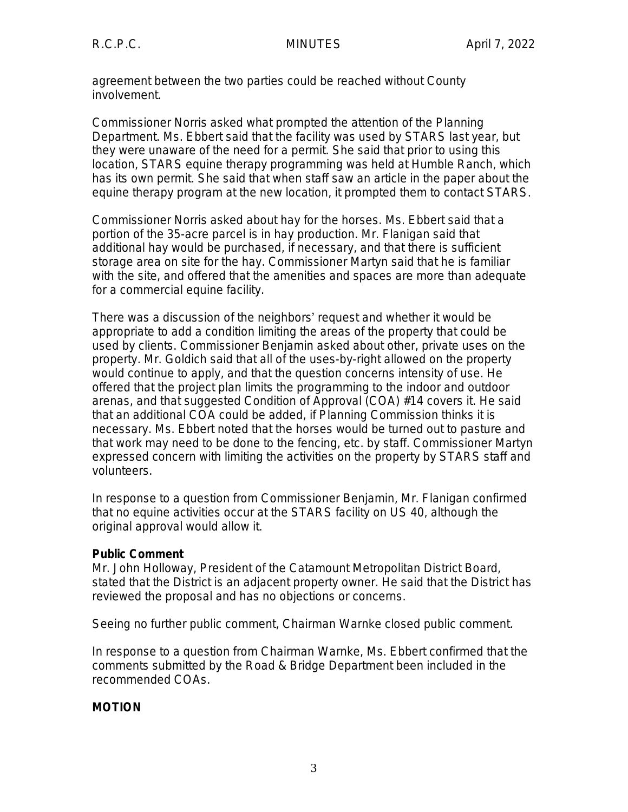agreement between the two parties could be reached without County involvement.

Commissioner Norris asked what prompted the attention of the Planning Department. Ms. Ebbert said that the facility was used by STARS last year, but they were unaware of the need for a permit. She said that prior to using this location, STARS equine therapy programming was held at Humble Ranch, which has its own permit. She said that when staff saw an article in the paper about the equine therapy program at the new location, it prompted them to contact STARS.

Commissioner Norris asked about hay for the horses. Ms. Ebbert said that a portion of the 35-acre parcel is in hay production. Mr. Flanigan said that additional hay would be purchased, if necessary, and that there is sufficient storage area on site for the hay. Commissioner Martyn said that he is familiar with the site, and offered that the amenities and spaces are more than adequate for a commercial equine facility.

There was a discussion of the neighbors' request and whether it would be appropriate to add a condition limiting the areas of the property that could be used by clients. Commissioner Benjamin asked about other, private uses on the property. Mr. Goldich said that all of the uses-by-right allowed on the property would continue to apply, and that the question concerns intensity of use. He offered that the project plan limits the programming to the indoor and outdoor arenas, and that suggested Condition of Approval (COA) #14 covers it. He said that an additional COA could be added, if Planning Commission thinks it is necessary. Ms. Ebbert noted that the horses would be turned out to pasture and that work may need to be done to the fencing, etc. by staff. Commissioner Martyn expressed concern with limiting the activities on the property by STARS staff and volunteers.

In response to a question from Commissioner Benjamin, Mr. Flanigan confirmed that no equine activities occur at the STARS facility on US 40, although the original approval would allow it.

## **Public Comment**

Mr. John Holloway, President of the Catamount Metropolitan District Board, stated that the District is an adjacent property owner. He said that the District has reviewed the proposal and has no objections or concerns.

Seeing no further public comment, Chairman Warnke closed public comment.

In response to a question from Chairman Warnke, Ms. Ebbert confirmed that the comments submitted by the Road & Bridge Department been included in the recommended COAs.

# **MOTION**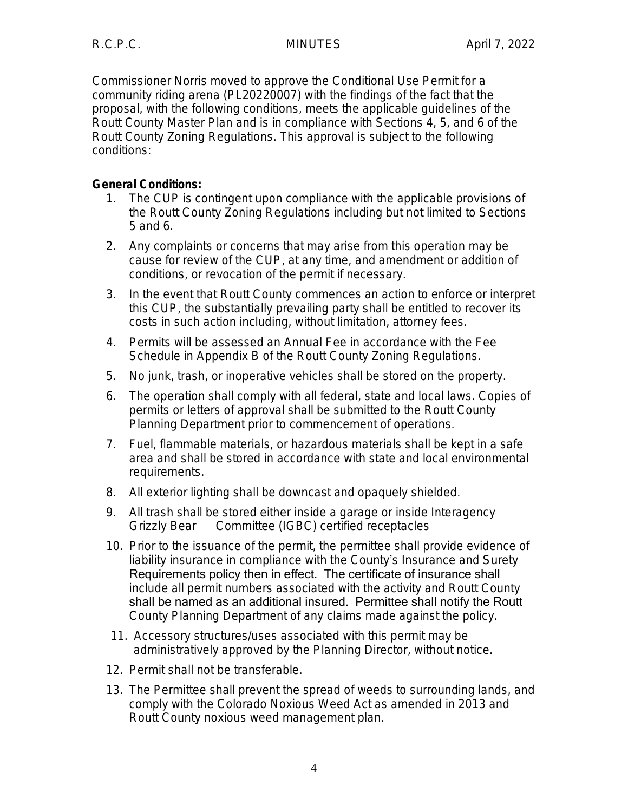Commissioner Norris moved to approve the Conditional Use Permit for a community riding arena (PL20220007) with the findings of the fact that the proposal, with the following conditions, meets the applicable guidelines of the Routt County Master Plan and is in compliance with Sections 4, 5, and 6 of the Routt County Zoning Regulations. This approval is subject to the following conditions:

# **General Conditions:**

- 1. The CUP is contingent upon compliance with the applicable provisions of the Routt County Zoning Regulations including but not limited to Sections 5 and 6.
- 2. Any complaints or concerns that may arise from this operation may be cause for review of the CUP, at any time, and amendment or addition of conditions, or revocation of the permit if necessary.
- 3. In the event that Routt County commences an action to enforce or interpret this CUP, the substantially prevailing party shall be entitled to recover its costs in such action including, without limitation, attorney fees.
- 4. Permits will be assessed an Annual Fee in accordance with the Fee Schedule in Appendix B of the Routt County Zoning Regulations.
- 5. No junk, trash, or inoperative vehicles shall be stored on the property.
- 6. The operation shall comply with all federal, state and local laws. Copies of permits or letters of approval shall be submitted to the Routt County Planning Department prior to commencement of operations.
- 7. Fuel, flammable materials, or hazardous materials shall be kept in a safe area and shall be stored in accordance with state and local environmental requirements.
- 8. All exterior lighting shall be downcast and opaquely shielded.
- 9. All trash shall be stored either inside a garage or inside Interagency Grizzly Bear Committee (IGBC) certified receptacles
- 10. Prior to the issuance of the permit, the permittee shall provide evidence of liability insurance in compliance with the County's Insurance and Surety Requirements policy then in effect. The certificate of insurance shall include all permit numbers associated with the activity and Routt County shall be named as an additional insured. Permittee shall notify the Routt County Planning Department of any claims made against the policy.
- 11. Accessory structures/uses associated with this permit may be administratively approved by the Planning Director, without notice.
- 12. Permit shall not be transferable.
- 13. The Permittee shall prevent the spread of weeds to surrounding lands, and comply with the Colorado Noxious Weed Act as amended in 2013 and Routt County noxious weed management plan.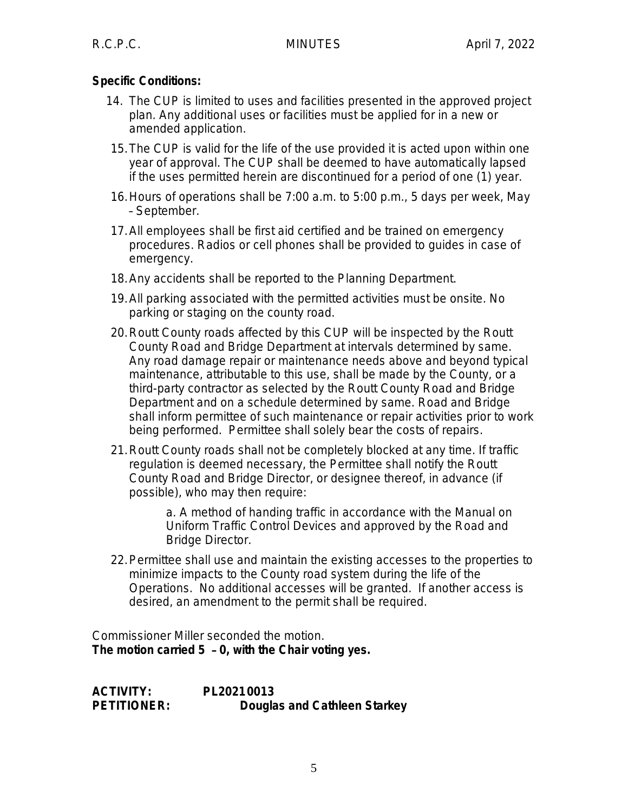# **Specific Conditions:**

- 14. The CUP is limited to uses and facilities presented in the approved project plan. Any additional uses or facilities must be applied for in a new or amended application.
- 15.The CUP is valid for the life of the use provided it is acted upon within one year of approval. The CUP shall be deemed to have automatically lapsed if the uses permitted herein are discontinued for a period of one (1) year.
- 16.Hours of operations shall be 7:00 a.m. to 5:00 p.m., 5 days per week, May – September.
- 17.All employees shall be first aid certified and be trained on emergency procedures. Radios or cell phones shall be provided to guides in case of emergency.
- 18.Any accidents shall be reported to the Planning Department.
- 19.All parking associated with the permitted activities must be onsite. No parking or staging on the county road.
- 20.Routt County roads affected by this CUP will be inspected by the Routt County Road and Bridge Department at intervals determined by same. Any road damage repair or maintenance needs above and beyond typical maintenance, attributable to this use, shall be made by the County, or a third-party contractor as selected by the Routt County Road and Bridge Department and on a schedule determined by same. Road and Bridge shall inform permittee of such maintenance or repair activities prior to work being performed. Permittee shall solely bear the costs of repairs.
- 21.Routt County roads shall not be completely blocked at any time. If traffic regulation is deemed necessary, the Permittee shall notify the Routt County Road and Bridge Director, or designee thereof, in advance (if possible), who may then require:

a. A method of handing traffic in accordance with the Manual on Uniform Traffic Control Devices and approved by the Road and Bridge Director.

22.Permittee shall use and maintain the existing accesses to the properties to minimize impacts to the County road system during the life of the Operations. No additional accesses will be granted. If another access is desired, an amendment to the permit shall be required.

Commissioner Miller seconded the motion. **The motion carried 5** – **0, with the Chair voting yes.**

**ACTIVITY: PL20210013 PETITIONER: Douglas and Cathleen Starkey**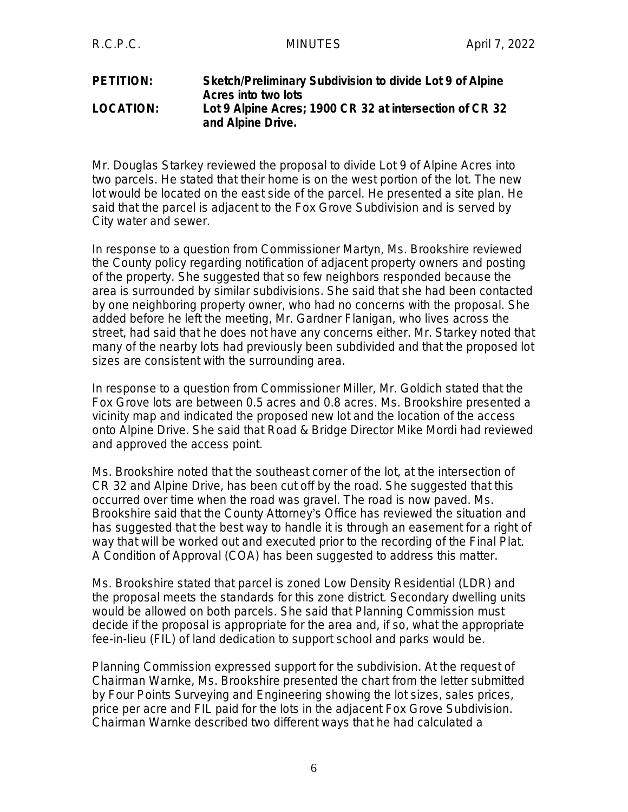#### **PETITION: Sketch/Preliminary Subdivision to divide Lot 9 of Alpine Acres into two lots LOCATION: Lot 9 Alpine Acres; 1900 CR 32 at intersection of CR 32 and Alpine Drive.**

Mr. Douglas Starkey reviewed the proposal to divide Lot 9 of Alpine Acres into two parcels. He stated that their home is on the west portion of the lot. The new lot would be located on the east side of the parcel. He presented a site plan. He said that the parcel is adjacent to the Fox Grove Subdivision and is served by City water and sewer.

In response to a question from Commissioner Martyn, Ms. Brookshire reviewed the County policy regarding notification of adjacent property owners and posting of the property. She suggested that so few neighbors responded because the area is surrounded by similar subdivisions. She said that she had been contacted by one neighboring property owner, who had no concerns with the proposal. She added before he left the meeting, Mr. Gardner Flanigan, who lives across the street, had said that he does not have any concerns either. Mr. Starkey noted that many of the nearby lots had previously been subdivided and that the proposed lot sizes are consistent with the surrounding area.

In response to a question from Commissioner Miller, Mr. Goldich stated that the Fox Grove lots are between 0.5 acres and 0.8 acres. Ms. Brookshire presented a vicinity map and indicated the proposed new lot and the location of the access onto Alpine Drive. She said that Road & Bridge Director Mike Mordi had reviewed and approved the access point.

Ms. Brookshire noted that the southeast corner of the lot, at the intersection of CR 32 and Alpine Drive, has been cut off by the road. She suggested that this occurred over time when the road was gravel. The road is now paved. Ms. Brookshire said that the County Attorney's Office has reviewed the situation and has suggested that the best way to handle it is through an easement for a right of way that will be worked out and executed prior to the recording of the Final Plat. A Condition of Approval (COA) has been suggested to address this matter.

Ms. Brookshire stated that parcel is zoned Low Density Residential (LDR) and the proposal meets the standards for this zone district. Secondary dwelling units would be allowed on both parcels. She said that Planning Commission must decide if the proposal is appropriate for the area and, if so, what the appropriate fee-in-lieu (FIL) of land dedication to support school and parks would be.

Planning Commission expressed support for the subdivision. At the request of Chairman Warnke, Ms. Brookshire presented the chart from the letter submitted by Four Points Surveying and Engineering showing the lot sizes, sales prices, price per acre and FIL paid for the lots in the adjacent Fox Grove Subdivision. Chairman Warnke described two different ways that he had calculated a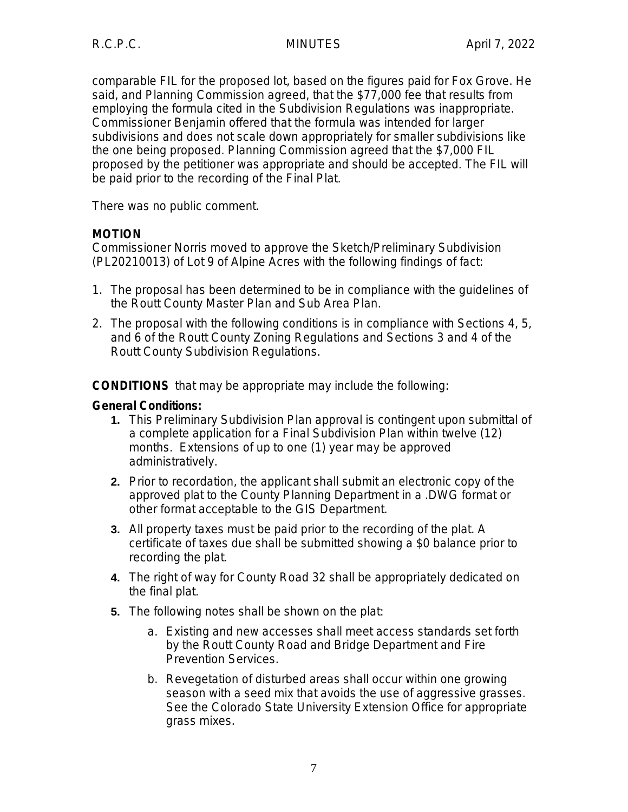comparable FIL for the proposed lot, based on the figures paid for Fox Grove. He said, and Planning Commission agreed, that the \$77,000 fee that results from employing the formula cited in the Subdivision Regulations was inappropriate. Commissioner Benjamin offered that the formula was intended for larger subdivisions and does not scale down appropriately for smaller subdivisions like the one being proposed. Planning Commission agreed that the \$7,000 FIL proposed by the petitioner was appropriate and should be accepted. The FIL will be paid prior to the recording of the Final Plat.

There was no public comment.

# **MOTION**

Commissioner Norris moved to approve the Sketch/Preliminary Subdivision (PL20210013) of Lot 9 of Alpine Acres with the following findings of fact:

- 1. The proposal has been determined to be in compliance with the guidelines of the Routt County Master Plan and Sub Area Plan.
- 2. The proposal with the following conditions is in compliance with Sections 4, 5, and 6 of the Routt County Zoning Regulations and Sections 3 and 4 of the Routt County Subdivision Regulations.

**CONDITIONS** that may be appropriate may include the following:

## **General Conditions:**

- **1.** This Preliminary Subdivision Plan approval is contingent upon submittal of a complete application for a Final Subdivision Plan within twelve (12) months. Extensions of up to one (1) year may be approved administratively.
- **2.** Prior to recordation, the applicant shall submit an electronic copy of the approved plat to the County Planning Department in a .DWG format or other format acceptable to the GIS Department.
- **3.** All property taxes must be paid prior to the recording of the plat. A certificate of taxes due shall be submitted showing a \$0 balance prior to recording the plat.
- **4.** The right of way for County Road 32 shall be appropriately dedicated on the final plat.
- **5.** The following notes shall be shown on the plat:
	- a. Existing and new accesses shall meet access standards set forth by the Routt County Road and Bridge Department and Fire Prevention Services.
	- b. Revegetation of disturbed areas shall occur within one growing season with a seed mix that avoids the use of aggressive grasses. See the Colorado State University Extension Office for appropriate grass mixes.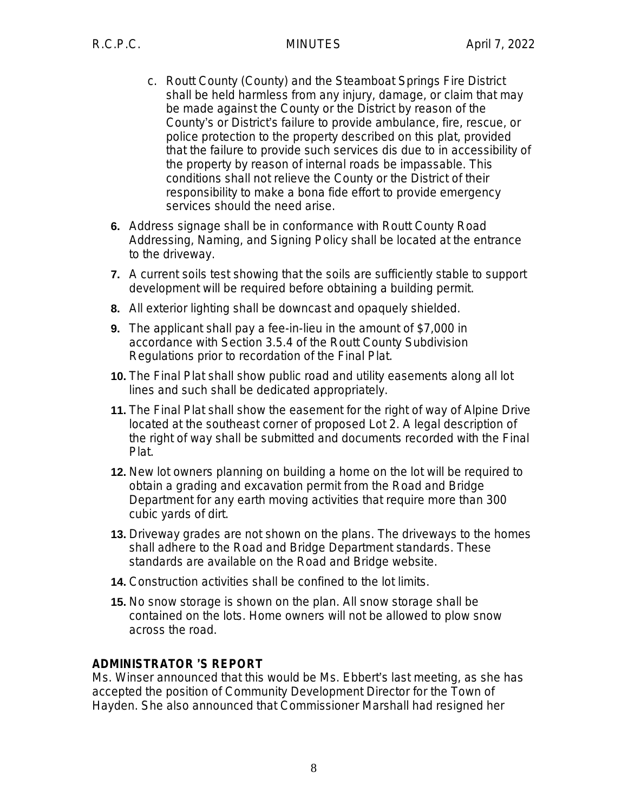- c. Routt County (County) and the Steamboat Springs Fire District shall be held harmless from any injury, damage, or claim that may be made against the County or the District by reason of the County's or District's failure to provide ambulance, fire, rescue, or police protection to the property described on this plat, provided that the failure to provide such services dis due to in accessibility of the property by reason of internal roads be impassable. This conditions shall not relieve the County or the District of their responsibility to make a bona fide effort to provide emergency services should the need arise.
- **6.** Address signage shall be in conformance with Routt County Road Addressing, Naming, and Signing Policy shall be located at the entrance to the driveway.
- **7.** A current soils test showing that the soils are sufficiently stable to support development will be required before obtaining a building permit.
- **8.** All exterior lighting shall be downcast and opaquely shielded.
- **9.** The applicant shall pay a fee-in-lieu in the amount of \$7,000 in accordance with Section 3.5.4 of the Routt County Subdivision Regulations prior to recordation of the Final Plat.
- **10.** The Final Plat shall show public road and utility easements along all lot lines and such shall be dedicated appropriately.
- **11.** The Final Plat shall show the easement for the right of way of Alpine Drive located at the southeast corner of proposed Lot 2. A legal description of the right of way shall be submitted and documents recorded with the Final Plat.
- **12.** New lot owners planning on building a home on the lot will be required to obtain a grading and excavation permit from the Road and Bridge Department for any earth moving activities that require more than 300 cubic yards of dirt.
- **13.** Driveway grades are not shown on the plans. The driveways to the homes shall adhere to the Road and Bridge Department standards. These standards are available on the Road and Bridge website.
- **14.** Construction activities shall be confined to the lot limits.
- **15.** No snow storage is shown on the plan. All snow storage shall be contained on the lots. Home owners will not be allowed to plow snow across the road.

## **ADMINISTRATOR** '**S REPORT**

Ms. Winser announced that this would be Ms. Ebbert's last meeting, as she has accepted the position of Community Development Director for the Town of Hayden. She also announced that Commissioner Marshall had resigned her